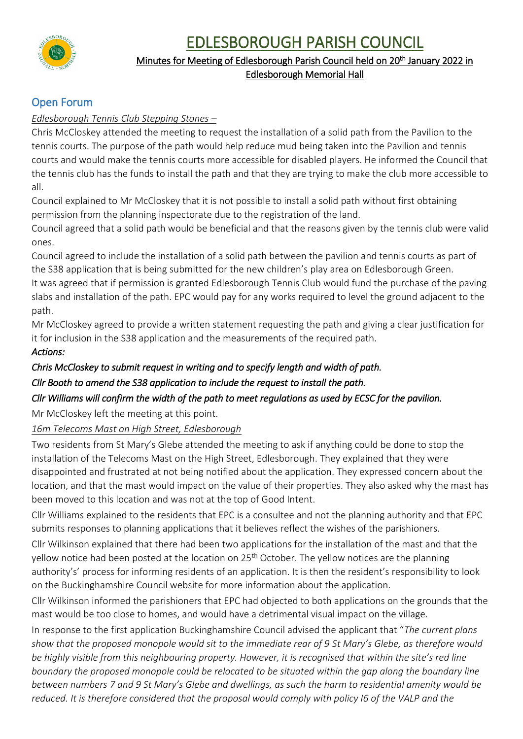EDLESBOROUGH PARISH COUNCIL



# Minutes for Meeting of Edlesborough Parish Council held on 20<sup>th</sup> January 2022 in Edlesborough Memorial Hall

# Open Forum

# *Edlesborough Tennis Club Stepping Stones –*

Chris McCloskey attended the meeting to request the installation of a solid path from the Pavilion to the tennis courts. The purpose of the path would help reduce mud being taken into the Pavilion and tennis courts and would make the tennis courts more accessible for disabled players. He informed the Council that the tennis club has the funds to install the path and that they are trying to make the club more accessible to all.

Council explained to Mr McCloskey that it is not possible to install a solid path without first obtaining permission from the planning inspectorate due to the registration of the land.

Council agreed that a solid path would be beneficial and that the reasons given by the tennis club were valid ones.

Council agreed to include the installation of a solid path between the pavilion and tennis courts as part of the S38 application that is being submitted for the new children's play area on Edlesborough Green.

It was agreed that if permission is granted Edlesborough Tennis Club would fund the purchase of the paving slabs and installation of the path. EPC would pay for any works required to level the ground adjacent to the path.

Mr McCloskey agreed to provide a written statement requesting the path and giving a clear justification for it for inclusion in the S38 application and the measurements of the required path.

# *Actions:*

# *Chris McCloskey to submit request in writing and to specify length and width of path.*

# *Cllr Booth to amend the S38 application to include the request to install the path.*

# *Cllr Williams will confirm the width of the path to meet regulations as used by ECSC for the pavilion.*

Mr McCloskey left the meeting at this point.

*16m Telecoms Mast on High Street, Edlesborough*

Two residents from St Mary's Glebe attended the meeting to ask if anything could be done to stop the installation of the Telecoms Mast on the High Street, Edlesborough. They explained that they were disappointed and frustrated at not being notified about the application. They expressed concern about the location, and that the mast would impact on the value of their properties. They also asked why the mast has been moved to this location and was not at the top of Good Intent.

Cllr Williams explained to the residents that EPC is a consultee and not the planning authority and that EPC submits responses to planning applications that it believes reflect the wishes of the parishioners.

Cllr Wilkinson explained that there had been two applications for the installation of the mast and that the yellow notice had been posted at the location on 25<sup>th</sup> October. The yellow notices are the planning authority's' process for informing residents of an application. It is then the resident's responsibility to look on the Buckinghamshire Council website for more information about the application.

Cllr Wilkinson informed the parishioners that EPC had objected to both applications on the grounds that the mast would be too close to homes, and would have a detrimental visual impact on the village.

In response to the first application Buckinghamshire Council advised the applicant that "*The current plans show that the proposed monopole would sit to the immediate rear of 9 St Mary's Glebe, as therefore would be highly visible from this neighbouring property. However, it is recognised that within the site's red line boundary the proposed monopole could be relocated to be situated within the gap along the boundary line between numbers 7 and 9 St Mary's Glebe and dwellings, as such the harm to residential amenity would be*  reduced. It is therefore considered that the proposal would comply with policy I6 of the VALP and the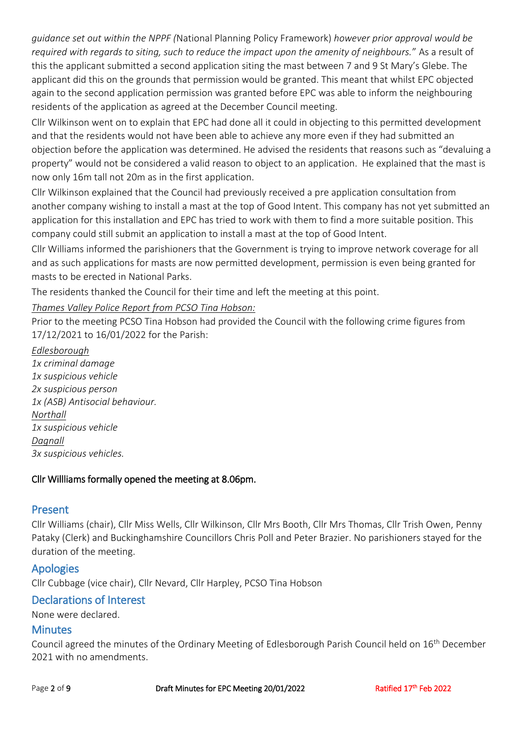*guidance set out within the NPPF (*National Planning Policy Framework) *however prior approval would be required with regards to siting, such to reduce the impact upon the amenity of neighbours.*" As a result of this the applicant submitted a second application siting the mast between 7 and 9 St Mary's Glebe. The applicant did this on the grounds that permission would be granted. This meant that whilst EPC objected again to the second application permission was granted before EPC was able to inform the neighbouring residents of the application as agreed at the December Council meeting.

Cllr Wilkinson went on to explain that EPC had done all it could in objecting to this permitted development and that the residents would not have been able to achieve any more even if they had submitted an objection before the application was determined. He advised the residents that reasons such as "devaluing a property" would not be considered a valid reason to object to an application. He explained that the mast is now only 16m tall not 20m as in the first application.

Cllr Wilkinson explained that the Council had previously received a pre application consultation from another company wishing to install a mast at the top of Good Intent. This company has not yet submitted an application for this installation and EPC has tried to work with them to find a more suitable position. This company could still submit an application to install a mast at the top of Good Intent.

Cllr Williams informed the parishioners that the Government is trying to improve network coverage for all and as such applications for masts are now permitted development, permission is even being granted for masts to be erected in National Parks.

The residents thanked the Council for their time and left the meeting at this point.

### *Thames Valley Police Report from PCSO Tina Hobson:*

Prior to the meeting PCSO Tina Hobson had provided the Council with the following crime figures from 17/12/2021 to 16/01/2022 for the Parish:

*Edlesborough 1x criminal damage 1x suspicious vehicle 2x suspicious person 1x (ASB) Antisocial behaviour. Northall 1x suspicious vehicle Dagnall 3x suspicious vehicles.*

### Cllr Willliams formally opened the meeting at 8.06pm.

### Present

Cllr Williams (chair), Cllr Miss Wells, Cllr Wilkinson, Cllr Mrs Booth, Cllr Mrs Thomas, Cllr Trish Owen, Penny Pataky (Clerk) and Buckinghamshire Councillors Chris Poll and Peter Brazier. No parishioners stayed for the duration of the meeting.

### Apologies

Cllr Cubbage (vice chair), Cllr Nevard, Cllr Harpley, PCSO Tina Hobson

# Declarations of Interest

None were declared.

### **Minutes**

Council agreed the minutes of the Ordinary Meeting of Edlesborough Parish Council held on 16<sup>th</sup> December 2021 with no amendments.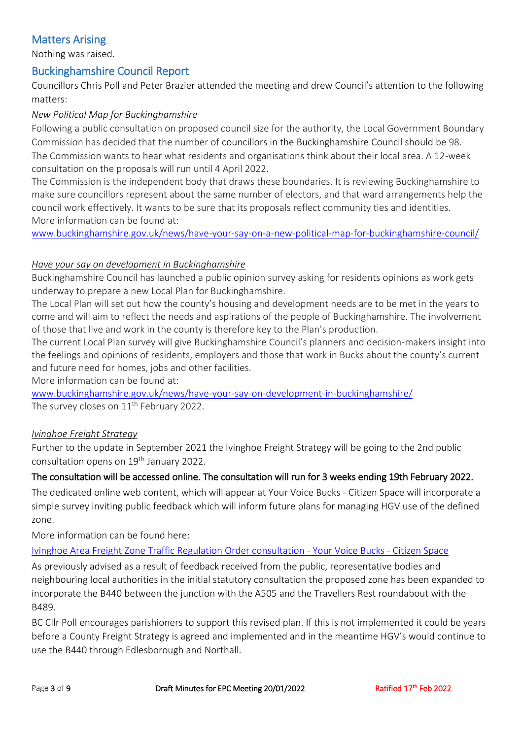# Matters Arising

Nothing was raised.

# Buckinghamshire Council Report

Councillors Chris Poll and Peter Brazier attended the meeting and drew Council's attention to the following matters:

### *New Political Map for Buckinghamshire*

Following a public consultation on proposed council size for the authority, the Local Government Boundary Commission has decided that the number of councillors in the Buckinghamshire Council should be 98. The Commission wants to hear what residents and organisations think about their local area. A 12-week consultation on the proposals will run until 4 April 2022.

The Commission is the independent body that draws these boundaries. It is reviewing Buckinghamshire to make sure councillors represent about the same number of electors, and that ward arrangements help the council work effectively. It wants to be sure that its proposals reflect community ties and identities. More information can be found at:

[www.buckinghamshire.gov.uk/news/have-your-say-on-a-new-political-map-for-buckinghamshire-council/](http://www.buckinghamshire.gov.uk/news/have-your-say-on-a-new-political-map-for-buckinghamshire-council/)

### *Have your say on development in Buckinghamshire*

Buckinghamshire Council has launched a public opinion survey asking for residents opinions as work gets underway to prepare a new Local Plan for Buckinghamshire.

The Local Plan will set out how the county's housing and development needs are to be met in the years to come and will aim to reflect the needs and aspirations of the people of Buckinghamshire. The involvement of those that live and work in the county is therefore key to the Plan's production.

The current Local Plan survey will give Buckinghamshire Council's planners and decision-makers insight into the feelings and opinions of residents, employers and those that work in Bucks about the county's current and future need for homes, jobs and other facilities.

More information can be found at:

[www.buckinghamshire.gov.uk/news/have-your-say-on-development-in-buckinghamshire/](http://www.buckinghamshire.gov.uk/news/have-your-say-on-development-in-buckinghamshire/) The survey closes on 11<sup>th</sup> February 2022.

### *Ivinghoe Freight Strategy*

Further to the update in September 2021 the Ivinghoe Freight Strategy will be going to the 2nd public consultation opens on 19th January 2022.

### The consultation will be accessed online. The consultation will run for 3 weeks ending 19th February 2022.

The dedicated online web content, which will appear at Your Voice Bucks - Citizen Space will incorporate a simple survey inviting public feedback which will inform future plans for managing HGV use of the defined zone.

More information can be found here:

### [Ivinghoe Area Freight Zone Traffic Regulation Order consultation -](https://yourvoicebucks.citizenspace.com/roads-parking/copy-of-ivinghoe-freight-tro-2022/) Your Voice Bucks - Citizen Space

As previously advised as a result of feedback received from the public, representative bodies and neighbouring local authorities in the initial statutory consultation the proposed zone has been expanded to incorporate the B440 between the junction with the A505 and the Travellers Rest roundabout with the B489.

BC Cllr Poll encourages parishioners to support this revised plan. If this is not implemented it could be years before a County Freight Strategy is agreed and implemented and in the meantime HGV's would continue to use the B440 through Edlesborough and Northall.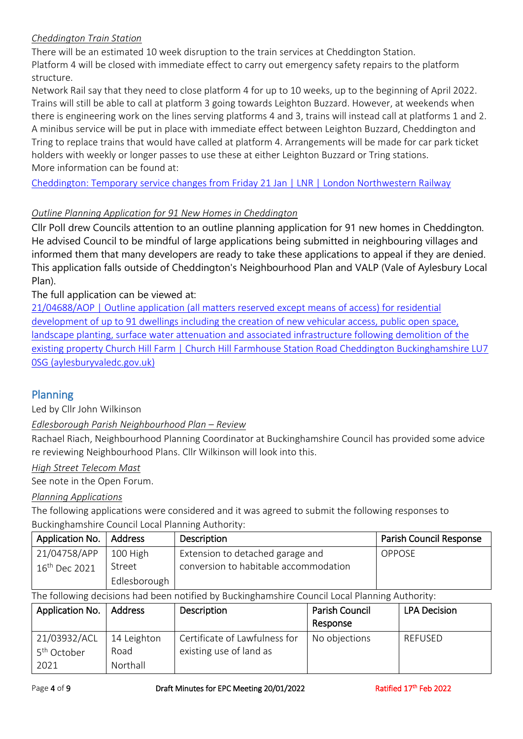### *Cheddington Train Station*

There will be an estimated 10 week disruption to the train services at Cheddington Station. Platform 4 will be closed with immediate effect to carry out emergency safety repairs to the platform structure.

Network Rail say that they need to close platform 4 for up to 10 weeks, up to the beginning of April 2022. Trains will still be able to call at platform 3 going towards Leighton Buzzard. However, at weekends when there is engineering work on the lines serving platforms 4 and 3, trains will instead call at platforms 1 and 2. A minibus service will be put in place with immediate effect between Leighton Buzzard, Cheddington and Tring to replace trains that would have called at platform 4. Arrangements will be made for car park ticket holders with weekly or longer passes to use these at either Leighton Buzzard or Tring stations. More information can be found at:

Cheddington: Temporary [service changes from Friday 21 Jan | LNR | London Northwestern Railway](https://www.londonnorthwesternrailway.co.uk/travel-information/service-disruptions/cheddington-temporary-service-changes-friday-21-jan?fbclid=IwAR2Qv4AksLphuzYCvpUVb83KCUhipaXKCkurl8uSdbtPzn5Mq1nODmL2pr0)

### *Outline Planning Application for 91 New Homes in Cheddington*

Cllr Poll drew Councils attention to an outline planning application for 91 new homes in Cheddington. He advised Council to be mindful of large applications being submitted in neighbouring villages and informed them that many developers are ready to take these applications to appeal if they are denied. This application falls outside of Cheddington's Neighbourhood Plan and VALP (Vale of Aylesbury Local Plan).

### The full application can be viewed at:

[21/04688/AOP | Outline application \(all matters reserved except means of access\) for residential](https://publicaccess.aylesburyvaledc.gov.uk/online-applications/applicationDetails.do?activeTab=summary&keyVal=R3R674CLJX400&fbclid=IwAR3urZSi-8f77hl_Z452tPYb5BxlLliJTuY580PtMEOFLlAKkSh-fOn2nBg)  [development of up to 91 dwellings including the creation of new vehicular access, public open space,](https://publicaccess.aylesburyvaledc.gov.uk/online-applications/applicationDetails.do?activeTab=summary&keyVal=R3R674CLJX400&fbclid=IwAR3urZSi-8f77hl_Z452tPYb5BxlLliJTuY580PtMEOFLlAKkSh-fOn2nBg)  [landscape planting, surface water attenuation and associated infrastructure following demolition of the](https://publicaccess.aylesburyvaledc.gov.uk/online-applications/applicationDetails.do?activeTab=summary&keyVal=R3R674CLJX400&fbclid=IwAR3urZSi-8f77hl_Z452tPYb5BxlLliJTuY580PtMEOFLlAKkSh-fOn2nBg)  [existing property Church Hill Farm | Church Hill Farmhouse Station Road Cheddington Buckinghamshire LU7](https://publicaccess.aylesburyvaledc.gov.uk/online-applications/applicationDetails.do?activeTab=summary&keyVal=R3R674CLJX400&fbclid=IwAR3urZSi-8f77hl_Z452tPYb5BxlLliJTuY580PtMEOFLlAKkSh-fOn2nBg)  [0SG \(aylesburyvaledc.gov.uk\)](https://publicaccess.aylesburyvaledc.gov.uk/online-applications/applicationDetails.do?activeTab=summary&keyVal=R3R674CLJX400&fbclid=IwAR3urZSi-8f77hl_Z452tPYb5BxlLliJTuY580PtMEOFLlAKkSh-fOn2nBg)

# Planning

Led by Cllr John Wilkinson

### *Edlesborough Parish Neighbourhood Plan – Review*

Rachael Riach, Neighbourhood Planning Coordinator at Buckinghamshire Council has provided some advice re reviewing Neighbourhood Plans. Cllr Wilkinson will look into this.

### *High Street Telecom Mast*

See note in the Open Forum.

### *Planning Applications*

The following applications were considered and it was agreed to submit the following responses to Buckinghamshire Council Local Planning Authority:

| Application No.           | Address      | Description                           | <b>Parish Council Response</b> |
|---------------------------|--------------|---------------------------------------|--------------------------------|
| 21/04758/APP              | 100 High     | Extension to detached garage and      | <b>OPPOSE</b>                  |
| 16 <sup>th</sup> Dec 2021 | Street       | conversion to habitable accommodation |                                |
|                           | Edlesborough |                                       |                                |

The following decisions had been notified by Buckinghamshire Council Local Planning Authority:

| Application No.         | Address     | Description                   | <b>Parish Council</b> | <b>LPA Decision</b> |
|-------------------------|-------------|-------------------------------|-----------------------|---------------------|
|                         |             |                               | Response              |                     |
| 21/03932/ACL            | 14 Leighton | Certificate of Lawfulness for | No objections         | REFUSED             |
| 5 <sup>th</sup> October | Road        | existing use of land as       |                       |                     |
| 2021                    | Northall    |                               |                       |                     |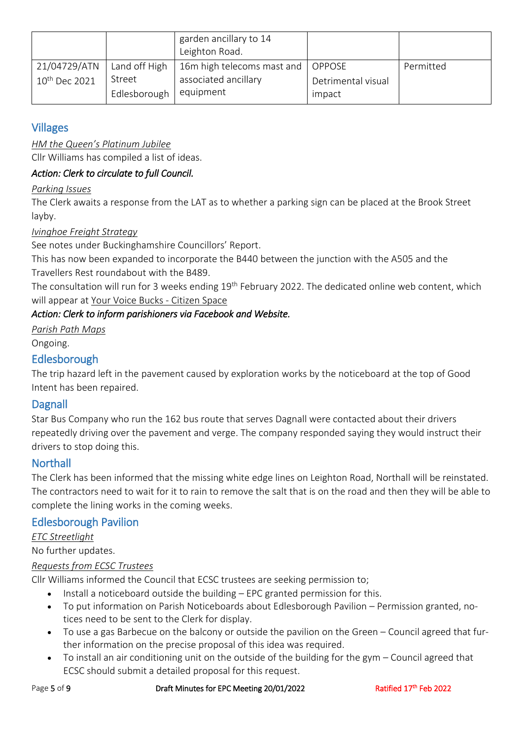|                           |               | garden ancillary to 14<br>Leighton Road. |                    |           |
|---------------------------|---------------|------------------------------------------|--------------------|-----------|
| 21/04729/ATN              | Land off High | 16m high telecoms mast and               | OPPOSE             | Permitted |
| 10 <sup>th</sup> Dec 2021 | Street        | associated ancillary                     | Detrimental visual |           |
|                           | Edlesborough  | equipment                                | impact             |           |

# Villages

### *HM the Queen's Platinum Jubilee*

Cllr Williams has compiled a list of ideas.

# *Action: Clerk to circulate to full Council.*

### *Parking Issues*

The Clerk awaits a response from the LAT as to whether a parking sign can be placed at the Brook Street layby.

### *Ivinghoe Freight Strategy*

See notes under Buckinghamshire Councillors' Report.

This has now been expanded to incorporate the B440 between the junction with the A505 and the Travellers Rest roundabout with the B489.

The consultation will run for 3 weeks ending 19<sup>th</sup> February 2022. The dedicated online web content, which will appear at [Your Voice Bucks -](https://yourvoicebucks.citizenspace.com/) Citizen Space

# *Action: Clerk to inform parishioners via Facebook and Website.*

*Parish Path Maps* Ongoing.

# Edlesborough

The trip hazard left in the pavement caused by exploration works by the noticeboard at the top of Good Intent has been repaired.

# **Dagnall**

Star Bus Company who run the 162 bus route that serves Dagnall were contacted about their drivers repeatedly driving over the pavement and verge. The company responded saying they would instruct their drivers to stop doing this.

# **Northall**

The Clerk has been informed that the missing white edge lines on Leighton Road, Northall will be reinstated. The contractors need to wait for it to rain to remove the salt that is on the road and then they will be able to complete the lining works in the coming weeks.

# Edlesborough Pavilion

*ETC Streetlight*

# No further updates.

# *Requests from ECSC Trustees*

Cllr Williams informed the Council that ECSC trustees are seeking permission to;

- Install a noticeboard outside the building EPC granted permission for this.
- To put information on Parish Noticeboards about Edlesborough Pavilion Permission granted, notices need to be sent to the Clerk for display.
- To use a gas Barbecue on the balcony or outside the pavilion on the Green Council agreed that further information on the precise proposal of this idea was required.
- To install an air conditioning unit on the outside of the building for the gym Council agreed that ECSC should submit a detailed proposal for this request.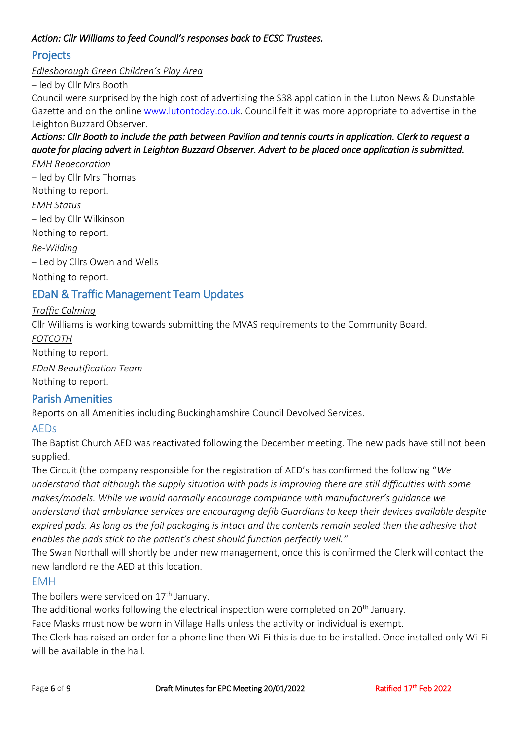### *Action: Cllr Williams to feed Council's responses back to ECSC Trustees.*

# Projects

*Edlesborough Green Children's Play Area* 

– led by Cllr Mrs Booth

Council were surprised by the high cost of advertising the S38 application in the Luton News & Dunstable Gazette and on the online [www.lutontoday.co.uk.](http://www.lutontoday.co.uk/) Council felt it was more appropriate to advertise in the Leighton Buzzard Observer.

# *Actions: Cllr Booth to include the path between Pavilion and tennis courts in application. Clerk to request a quote for placing advert in Leighton Buzzard Observer. Advert to be placed once application is submitted.*

*EMH Redecoration*  – led by Cllr Mrs Thomas Nothing to report. *EMH Status*  – led by Cllr Wilkinson Nothing to report.

*Re-Wilding*  – Led by Cllrs Owen and Wells

Nothing to report.

# EDaN & Traffic Management Team Updates

### *Traffic Calming*

Cllr Williams is working towards submitting the MVAS requirements to the Community Board.

*FOTCOTH*

Nothing to report.

*EDaN Beautification Team* 

Nothing to report.

# Parish Amenities

Reports on all Amenities including Buckinghamshire Council Devolved Services.

# AEDs

The Baptist Church AED was reactivated following the December meeting. The new pads have still not been supplied.

The Circuit (the company responsible for the registration of AED's has confirmed the following "*We understand that although the supply situation with pads is improving there are still difficulties with some makes/models. While we would normally encourage compliance with manufacturer's guidance we understand that ambulance services are encouraging defib Guardians to keep their devices available despite expired pads. As long as the foil packaging is intact and the contents remain sealed then the adhesive that enables the pads stick to the patient's chest should function perfectly well."*

The Swan Northall will shortly be under new management, once this is confirmed the Clerk will contact the new landlord re the AED at this location.

### EMH

The boilers were serviced on  $17<sup>th</sup>$  January.

The additional works following the electrical inspection were completed on 20<sup>th</sup> January.

Face Masks must now be worn in Village Halls unless the activity or individual is exempt.

The Clerk has raised an order for a phone line then Wi-Fi this is due to be installed. Once installed only Wi-Fi will be available in the hall.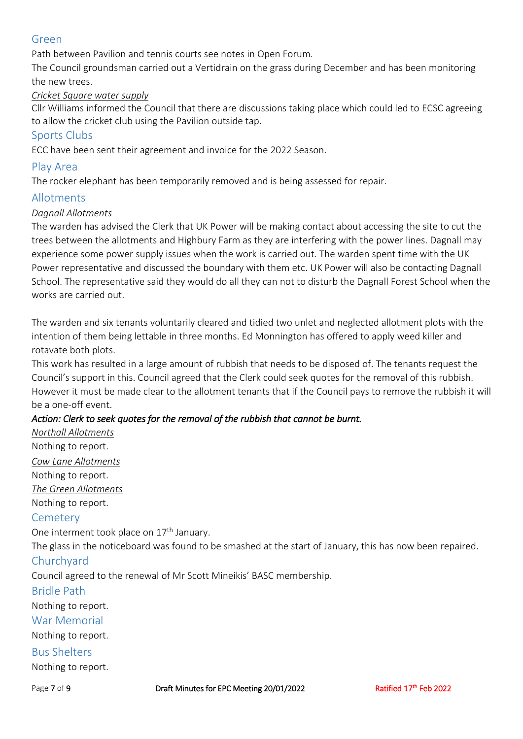### Green

Path between Pavilion and tennis courts see notes in Open Forum.

The Council groundsman carried out a Vertidrain on the grass during December and has been monitoring the new trees.

### *Cricket Square water supply*

Cllr Williams informed the Council that there are discussions taking place which could led to ECSC agreeing to allow the cricket club using the Pavilion outside tap.

### Sports Clubs

ECC have been sent their agreement and invoice for the 2022 Season.

### Play Area

The rocker elephant has been temporarily removed and is being assessed for repair.

### Allotments

### *Dagnall Allotments*

The warden has advised the Clerk that UK Power will be making contact about accessing the site to cut the trees between the allotments and Highbury Farm as they are interfering with the power lines. Dagnall may experience some power supply issues when the work is carried out. The warden spent time with the UK Power representative and discussed the boundary with them etc. UK Power will also be contacting Dagnall School. The representative said they would do all they can not to disturb the Dagnall Forest School when the works are carried out.

The warden and six tenants voluntarily cleared and tidied two unlet and neglected allotment plots with the intention of them being lettable in three months. Ed Monnington has offered to apply weed killer and rotavate both plots.

This work has resulted in a large amount of rubbish that needs to be disposed of. The tenants request the Council's support in this. Council agreed that the Clerk could seek quotes for the removal of this rubbish. However it must be made clear to the allotment tenants that if the Council pays to remove the rubbish it will be a one-off event.

### *Action: Clerk to seek quotes for the removal of the rubbish that cannot be burnt.*

*Northall Allotments*  Nothing to report.

*Cow Lane Allotments* Nothing to report. *The Green Allotments* Nothing to report.

### **Cemetery**

One interment took place on 17<sup>th</sup> January.

The glass in the noticeboard was found to be smashed at the start of January, this has now been repaired.

### Churchyard

Council agreed to the renewal of Mr Scott Mineikis' BASC membership.

### Bridle Path

Nothing to report.

### War Memorial

Nothing to report.

# Bus Shelters

Nothing to report.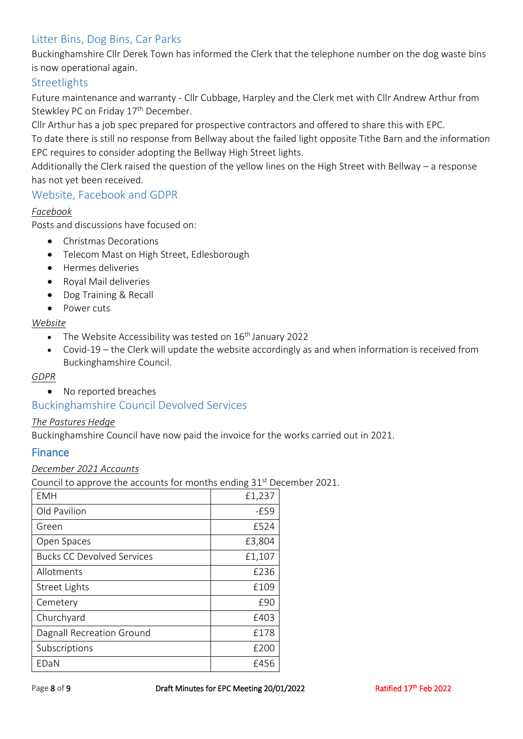# Litter Bins, Dog Bins, Car Parks

Buckinghamshire Cllr Derek Town has informed the Clerk that the telephone number on the dog waste bins is now operational again.

### **Streetlights**

Future maintenance and warranty - Cllr Cubbage, Harpley and the Clerk met with Cllr Andrew Arthur from Stewkley PC on Friday 17<sup>th</sup> December.

Cllr Arthur has a job spec prepared for prospective contractors and offered to share this with EPC.

To date there is still no response from Bellway about the failed light opposite Tithe Barn and the information EPC requires to consider adopting the Bellway High Street lights.

Additionally the Clerk raised the question of the yellow lines on the High Street with Bellway – a response has not yet been received.

### Website, Facebook and GDPR

### *Facebook*

Posts and discussions have focused on:

- Christmas Decorations
- Telecom Mast on High Street, Edlesborough
- Hermes deliveries
- Royal Mail deliveries
- Dog Training & Recall
- Power cuts

#### *Website*

- The Website Accessibility was tested on  $16<sup>th</sup>$  January 2022
- Covid-19 the Clerk will update the website accordingly as and when information is received from Buckinghamshire Council.

### *GDPR*

• No reported breaches

### Buckinghamshire Council Devolved Services

#### *The Pastures Hedge*

Buckinghamshire Council have now paid the invoice for the works carried out in 2021.

### Finance

#### *December 2021 Accounts*

Council to approve the accounts for months ending 31<sup>st</sup> December 2021.

| <b>EMH</b>                        | £1,237 |
|-----------------------------------|--------|
| Old Pavilion                      | $-E59$ |
| Green                             | £524   |
| Open Spaces                       | £3,804 |
| <b>Bucks CC Devolved Services</b> | £1,107 |
| Allotments                        | £236   |
| <b>Street Lights</b>              | £109   |
| Cemetery                          | £90    |
| Churchyard                        | £403   |
| Dagnall Recreation Ground         | £178   |
| Subscriptions                     | £200   |
| EDaN                              | £456   |